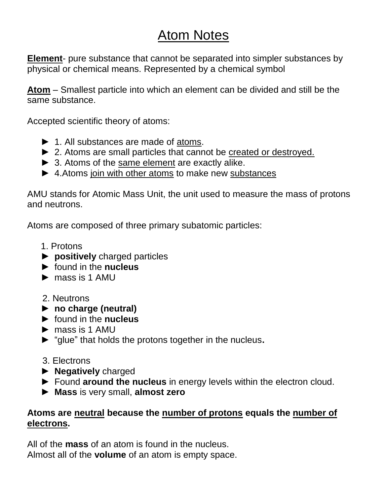## Atom Notes

**Element**- pure substance that cannot be separated into simpler substances by physical or chemical means. Represented by a chemical symbol

**Atom** – Smallest particle into which an element can be divided and still be the same substance.

Accepted scientific theory of atoms:

- ► 1. All substances are made of atoms.
- ▶ 2. Atoms are small particles that cannot be created or destroyed.
- ► 3. Atoms of the same element are exactly alike.
- ► 4.Atoms join with other atoms to make new substances

AMU stands for Atomic Mass Unit, the unit used to measure the mass of protons and neutrons.

Atoms are composed of three primary subatomic particles:

- 1. Protons
- ► **positively** charged particles
- ► found in the **nucleus**
- $\blacktriangleright$  mass is 1 AMU
- 2. Neutrons
- ► **no charge (neutral)**
- ► found in the **nucleus**
- $\blacktriangleright$  mass is 1 AMU
- ► "glue" that holds the protons together in the nucleus**.**
- 3. Electrons
- ► **Negatively** charged
- ► Found **around the nucleus** in energy levels within the electron cloud.
- ► **Mass** is very small, **almost zero**

## **Atoms are neutral because the number of protons equals the number of electrons.**

All of the **mass** of an atom is found in the nucleus. Almost all of the **volume** of an atom is empty space.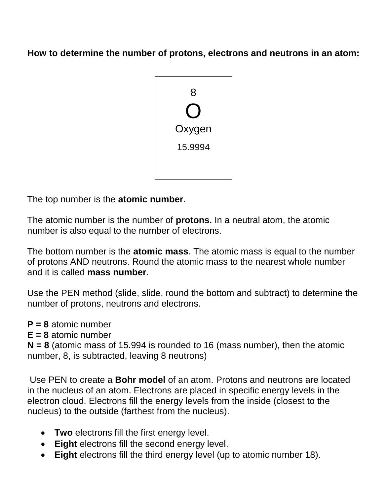**How to determine the number of protons, electrons and neutrons in an atom:**



The top number is the **atomic number**.

The atomic number is the number of **protons.** In a neutral atom, the atomic number is also equal to the number of electrons.

The bottom number is the **atomic mass**. The atomic mass is equal to the number of protons AND neutrons. Round the atomic mass to the nearest whole number and it is called **mass number**.

Use the PEN method (slide, slide, round the bottom and subtract) to determine the number of protons, neutrons and electrons.

**P = 8** atomic number

**E = 8** atomic number

**N = 8** (atomic mass of 15.994 is rounded to 16 (mass number), then the atomic number, 8, is subtracted, leaving 8 neutrons)

Use PEN to create a **Bohr model** of an atom. Protons and neutrons are located in the nucleus of an atom. Electrons are placed in specific energy levels in the electron cloud. Electrons fill the energy levels from the inside (closest to the nucleus) to the outside (farthest from the nucleus).

- **Two** electrons fill the first energy level.
- **Eight** electrons fill the second energy level.
- **Eight** electrons fill the third energy level (up to atomic number 18).